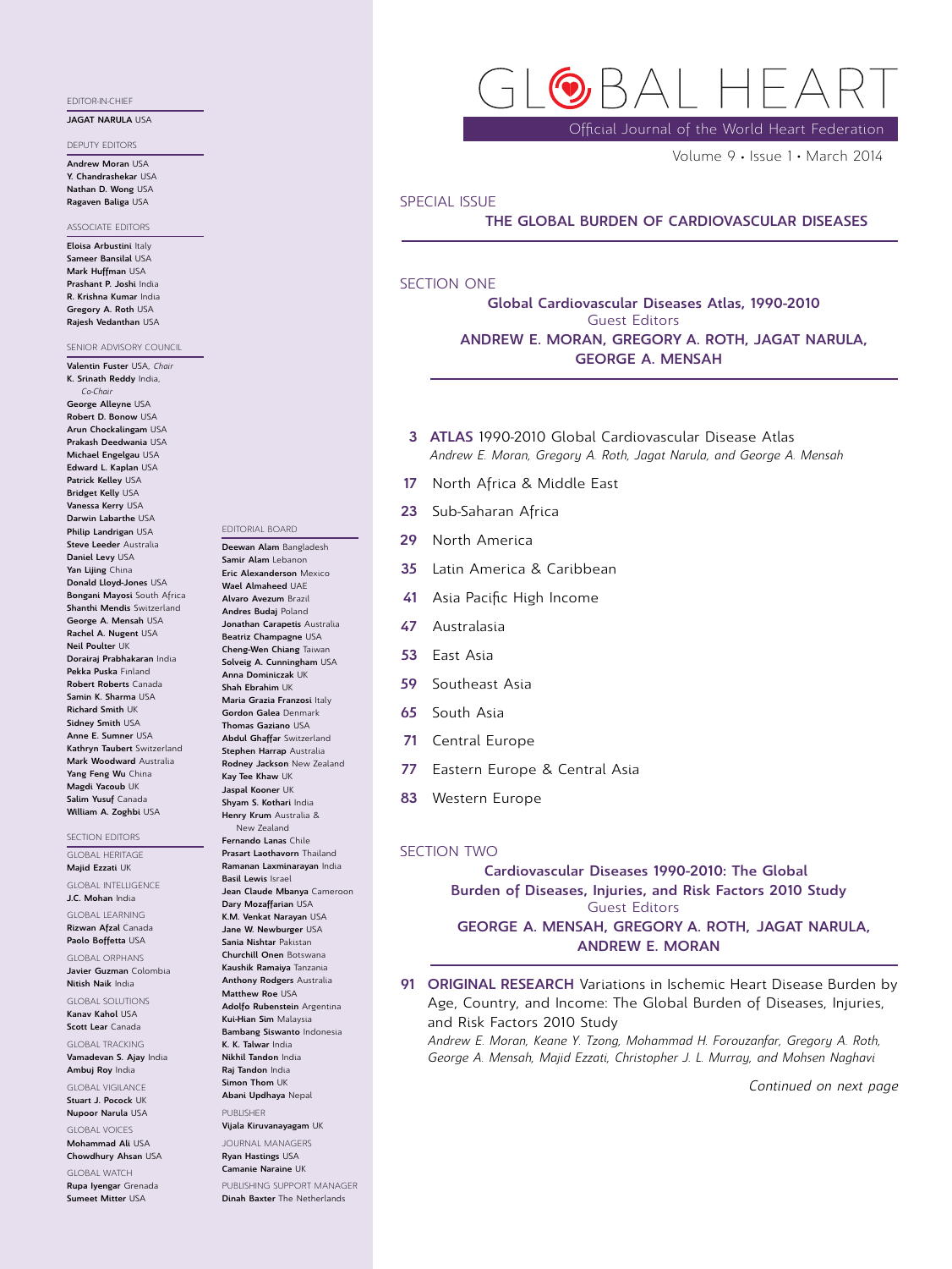### EDITOR-IN-CHIEF

### JAGAT NARULA USA

DEPUTY EDITORS

Andrew Moran USA Y. Chandrashekar USA Nathan D. Wong USA Ragaven Baliga USA

### ASSOCIATE EDITORS

Eloisa Arbustini Italy Sameer Bansilal USA Mark Huffman USA Prashant P. Joshi India R. Krishna Kumar India Gregory A. Roth USA Rajesh Vedanthan USA

SENIOR ADVISORY COUNCIL Valentin Fuster USA, Chair K. Srinath Reddy India, Co-Chair George Alleyne USA Robert D. Bonow USA Arun Chockalingam USA Prakash Deedwania USA Michael Engelgau USA Edward L. Kaplan USA Patrick Kelley USA Bridget Kelly USA Vanessa Kerry USA Darwin Labarthe USA Philip Landrigan USA Steve Leeder Australia Daniel Levy USA Yan Lijing China Donald Lloyd-Jones USA Bongani Mayosi South Africa Shanthi Mendis Switzerland George A. Mensah USA Rachel A. Nugent USA Neil Poulter UK Dorairaj Prabhakaran India Pekka Puska Finland Robert Roberts Canada Samin K. Sharma USA Richard Smith UK Sidney Smith USA Anne E. Sumner USA Kathryn Taubert Switzerland Mark Woodward Australia Yang Feng Wu China Magdi Yacoub UK Salim Yusuf Canada

### SECTION EDITORS

GLOBAL HERITAGE Majid Ezzati UK

William A. Zoghbi USA

GLOBAL INTELLIGENCE J.C. Mohan India

GLOBAL LEARNING Rizwan Afzal Canada

Paolo Boffetta USA GLOBAL ORPHANS

Javier Guzman Colombia Nitish Naik India

GLOBAL SOLUTIONS Kanav Kahol USA

Scott Lear Canada GLOBAL TRACKING

Vamadevan S. Ajay India Ambuj Roy India

GLOBAL VIGILANCE Stuart J. Pocock UK

Nupoor Narula USA GLOBAL VOICES

Mohammad Ali USA Chowdhury Ahsan USA

GLOBAL WATCH Rupa Iyengar Grenada Sumeet Mitter USA

 $3\Delta$  |

Official Journal of the World Heart Federation

Volume 9 · Issue 1 · March 2014

### SPECIAL ISSUE

THE GLOBAL BURDEN OF CARDIOVASCULAR DISEASES

# SECTION ONE

Global Cardiovascular Diseases Atlas, 1990-2010 Guest Editors ANDREW E. MORAN, GREGORY A. ROTH, JAGAT NARULA, GEORGE A. MENSAH

- 3 ATLAS 1990-2010 Global Cardiovascular Disease Atlas Andrew E. Moran, Gregory A. Roth, Jagat Narula, and George A. Mensah
- 17 North Africa & Middle East
- 23 Sub-Saharan Africa
- 29 North America
- 35 Latin America & Caribbean
- 41 Asia Pacific High Income
- 47 Australasia
- 53 East Asia
- 59 Southeast Asia
- 65 South Asia
- 71 Central Europe
- 77 Eastern Europe & Central Asia
- 83 Western Europe

## SECTION TWO

Cardiovascular Diseases 1990-2010: The Global Burden of Diseases, Injuries, and Risk Factors 2010 Study Guest Editors GEORGE A. MENSAH, GREGORY A. ROTH, JAGAT NARULA, ANDREW E. MORAN

91 ORIGINAL RESEARCH Variations in Ischemic Heart Disease Burden by Age, Country, and Income: The Global Burden of Diseases, Injuries, and Risk Factors 2010 Study

Andrew E. Moran, Keane Y. Tzong, Mohammad H. Forouzanfar, Gregory A. Roth, George A. Mensah, Majid Ezzati, Christopher J. L. Murray, and Mohsen Naghavi

Continued on next page

Ryan Hastings USA Camanie Naraine UK

PUBLISHING SUPPORT MANAGER Dinah Baxter The Netherlands

# EDITORIAL BOARD

Deewan Alam Bangladesh Samir Alam Lebanon Eric Alexanderson Mexico Wael Almaheed UAF Alvaro Avezum Brazil Andres Budaj Poland Jonathan Carapetis Australia Beatriz Champagne USA Cheng-Wen Chiang Taiwan Solveig A. Cunningham USA Anna Dominiczak UK Shah Ebrahim UK Maria Grazia Franzosi Italy Gordon Galea Denmark Thomas Gaziano USA Abdul Ghaffar Switzerland Stephen Harrap Australia Rodney Jackson New Zealand Kay Tee Khaw UK Jaspal Kooner UK Shyam S. Kothari India Henry Krum Australia & New Zealand Fernando Lanas Chile Prasart Laothavorn Thailand Ramanan Laxminarayan India Basil Lewis Israel Jean Claude Mbanya Cameroon Dary Mozaffarian USA K.M. Venkat Narayan USA Jane W. Newburger USA Sania Nishtar Pakistan

Churchill Onen Botswana Kaushik Ramaiya Tanzania Anthony Rodgers Australia Matthew Roe USA Adolfo Rubenstein Argentina Kui-Hian Sim Malaysia Bambang Siswanto Indonesia K. K. Talwar India

Nikhil Tandon India Raj Tandon India Simon Thom UK Abani Updhaya Nepal

PUBLISHER Vijala Kiruvanayagam UK

JOURNAL MANAGERS